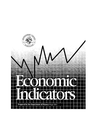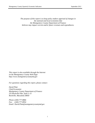*The purpose of this report is to keep policy makers apprised of changes in the national and local economies that the Montgomery County Department of Finance believes may impact current and/or future revenues and expenditures.*

*This report is also available through the Internet on the Montgomery County Web Page: http://www.montgomerycountymd.gov*

*For questions regarding this report, please contact:*

*David Platt Chief Economist Montgomery County Department of Finance 255 Rockville Pike, Suite L-15 Rockville, Maryland 20850*

*Phone:(240) 777-8866 Fax: (240) 777-8954 Email: David.Platt@montgomerycountymd.gov*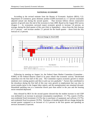#### **NATIONAL ECONOMY**

According to the revised estimate from the Bureau of Economic Analysis (BEA), U.S. Department of Commerce, gross domestic product (GDP) increased at a 1.7 percent seasonally adjusted annual rate during the second quarter. That increase follows eleven consecutive quarters of growth since the end of the recession in June 2009. Based on the August *WSJ* survey (August  $3 - 6$ ), economists surveyed expect economic growth to increase 1.8 percent, on average, during the third quarter of this year (July to September) – down from the July forecast of 2.1 percent – and increase another 2.1 percent for the fourth quarter – down from the July forecast of 2.3 percent.



Following its meeting on August 1st, the Federal Open Market Committee (Committee - FOMC) of the Federal Reserve stated in its press release that economic activity "decelerated somewhat over the first half of this year. The Committee expects economic growth to remain moderate over coming quarters and then to pick up very gradually." Factors that contributed to the slowdown during the first half of this year were growth in employment that was slow in recent months (prior to the August labor report), and the unemployment rate remained elevated. Household spending rose at a somewhat slower pace than earlier in the year and the housing sector remained depressed.

Data released by BEA for the second quarter showed that the modest increase in real GDP was attributed to an increase in personal consumption expenditures ( $\uparrow$ 1.7%), exports ( $\uparrow$ 6.0%), non-residential fixed investment (↑4.2%) due to purchases of equipment and software (↑4.7%), and residential fixed investment (↑8.9%). Purchases of durable goods did not change during the second quarter compared to an increase of 11.5 percent in the first quarter and spending on services increased 2.4 percent.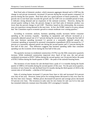Real final sales of domestic product, which measures aggregate demand and is GDP less the change in real private inventories, increased 2.0 percent during the second quarter compared 2.4 percent during the first quarter. Real final sales are a good measure of future production. If the growth rate in real final sales exceeds the growth rate for GDP over an extended period of time, it indicates strong demand and an expansion of the national economy. However, during the second quarter ending in June, the percent change in real final sales of domestic product was lower than the percent change in real GDP. Therefore, based on this relationship, the economy may not experience strong demand in the near term. In fact, the FOMC stated in its press release that "the Committee expects economic growth to remain moderate over coming quarters."

According to economic analysts, business spending usually increases before consumer spending as the economy expands. Spending on equipment and software increased at a seasonally adjusted annual rate of 4.7 percent during the second quarter. During the first half of this year, business spending increased 5.1 percent at a seasonally adjusted annual rate. Consumer spending as measured by personal consumption expenditures (PCE) increased by 1.7 percent at a seasonally adjusted annual rate during the second quarter and 2.1 percent during the first half of this year. That difference suggests that business spending rather than consumer spending was the economic driver during the first half of this year.

The quarterly increase in residential construction (↑8.9%) was the fifth consecutive quarterly increase. While residential construction improved since April of last year, the real private residential investment at \$359.7 billion during the second quarter was 54 percent below the peak of \$783.5 billion during the fourth quarter of 2005 – the peak of the national housing boom.

The inventory of new homes for sale declined from a peak of 11.4 months during the fourth quarter of 2008 to 4.8 months during the second quarter of this year. For the past seven quarters, inventory of new homes for sale declined from 8.4 months during the third quarter of 2010 to the current ratio of 4.8 months – a decline of 42.9 percent.

Sales of existing homes increased 2.3 percent from June to July and increased 10.4 percent over July of last year. However, home prices for existing homes decreased in July over June for the first time since January. Median prices decreased 0.8 percent and average prices decreased 0.9 percent over June. The inventory-to-sales ratio for new homes for sale was 6.4 in July and has remained relatively constant since December 2011 averaging 6.3 months.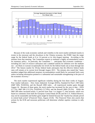

Because of the weak economic outlook and volatility in the stock market attributed mainly to events in the eurozone and the slowdown in the Chinese economy, the FOMC kept the target range for the federal funds at 0 to 1/4 percent at its July-August meeting. According to the minutes from that meeting, "the Committee expects to maintain a highly accommodative stance for monetary policy. In particular, the Committee "... anticipates that economic conditions – including low rates of resource utilization and a subdued outlook for inflation over the medium run – are likely to warrant exceptionally low levels for the federal funds rate at least through late 2014." The futures market for 30-day federal funds anticipates that the effective federal funds rates will remain at its current level through August 2013. The minutes also stated that "many members judged that additional monetary accommodation would likely be warranted fairly soon unless incoming information pointed to a substantial and sustainable strengthening in the pace of the economic recovery."

The stock market experienced significant volatility during the first three weeks of August. Four market indicators – Dow Jones Industrial Average (DJIA), Standard & Poor's 500 Index (S&P 500), NASDAQ, and the Russell 2000 index – all experienced modest gains through August 24. Because of these gains, the stock market has increased for the year to date – DJIA (↑7.7%), S&P 500 (↑12.2%), NASDAQ (↑17.8%), and the Russell 2000 (↑9.2%). While the S&P 500 index increased nearly 11 percent from June 1 to August 17, that increase, which was based on comments from both the European Central Bank (ECB) and the U.S. Federal Reserve, may not be sustainable and further gains might be limited because the "market has already priced in central bank action" (*Financial Times, August 25/26).* The *Financial Times* also asserts that actions by the ECB and eurozone politicians will determine whether equities continue to rally further.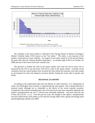

The volatility in the stock market is reflected in the Chicago Board of Options Exchange's Market Volatility Index (VIX) known as the "fear index." The index is one measure of the market's expectation of stock volatility. On August 24, the index closed at 15.18 and well below the peak close after the Lehman Brothers bankruptcy – an intraday high of 89.53 on October 24, 2008 and one of the lowest levels this calendar year.

The question is whether the rally in the equity market since June has led to lower risk as measured by the VIX or has the lower VIX led to a rally in the equity market. Certainly recent comments from the central bankers have lowered the stress about the eurozone crisis and created an environment for more risk taking by investors thereby fueling the recent rally in equities and bonds.

#### **REGIONAL ECONOMY**

According to the employment data from the Bureau of Labor Statistics, U.S. Department of Labor, the Washington area economy is experiencing the same pattern that is being reflected in national trends, although not as vulnerable to the effects of the recent national recession. Compared to the national unemployment rate at 8.4 percent in June (not seasonally adjusted), the region's unemployment rate was 5.7 percent (not seasonally adjusted) − and lower than the rate in June 2011 (6.2% - n.s.a.). Over the past ten years, the changes in the region's unemployment rate have followed the same pattern as the national average albeit with a greater percentage point spread beginning calendar year 2009.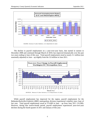

The decline in payroll employment on a year-over-year basis, that started in earnest in December 2008 and continued through March of 2010, has improved dramatically over the past two years ending in June of this year. Total payroll employment stood at nearly 3.1 million (not seasonally adjusted) in June – up slightly from the 3.0 million in June 2011.



While payroll employment has improved for the region, payroll employment for the Bethesda-Rockville-Frederick (BRF) metropolitan division experienced volatility since June of last year. Total payroll employment stood at 574,400 in June − up from June 2011 (↑4,200). However, during that twelve-month period, payroll employment experienced year-over-year declines during the fourth quarter of 2011 and January of this year.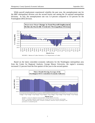While payroll employment experienced volatility the past year, the unemployment rate for the BRF metropolitan division was the second lowest rate among the 34 national metropolitan divisions. In July, the unemployment rate was 5.4 percent compared to 5.0 percent for the Framingham (MA) division.



Based on the latest coincident economic indicators for the Washington metropolitan area from the Center for Regional Analysis, George Mason University, the region's economy increased 2.2 percent from the first quarter of this year to the second quarter.

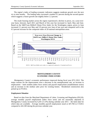The region's index of leading economic indicators suggests moderate growth over the next six to nine months. The leading index increased a modest 0.2 percent during the second quarter which suggests a future growth rate slightly below 2.2 percent.

The resale housing market across the region experienced a decline in prices, on a year-overyear basis, between April 2011 and March of this year but increased in April, May and June. Based on the S&P/Case-Shiller® Home Price Index for the Washington region, prices in June increased 2.1 percent over May and 3.9 percent over June of last year and compared well to the 0.5 percent increase for the composite index of 20 national metropolitan areas.



### **MONTGOMERY COUNTY ECONOMIC INDICATORS**

Montgomery County's economic performance improved during fiscal year (FY) 2012. The major reasons for the improvement were a decrease in the unemployment rate, an increase in employment – both resident (labor force series) and payroll employment (establishment series) and an increase in the median sales price for existing homes. Residential construction also picked up in FY2012.

### *Employment Situation*

Based on data from the Maryland Department of Labor, Licensing and Regulation (DLLR), average monthly payroll employment (labor force series and not seasonally adjusted) in Montgomery County increased by  $6,201$  ( $11.4\%$ ) during calendar year  $2011$  – the latest date for which data are available. Average monthly payroll employment stood at 447,784 in CY2011 compared to 441,583 during the previous calendar year.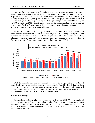However, the County's total payroll employment, as derived by the Department of Finance incorporating the establishment series from the Bureau of Labor Statistics (BLS), U.S. Department of Labor, for the Bethesda-Rockville-Frederick metropolitan division increased by a monthly average of 2,200 jobs (↑0.5%) during FY2012. Total payroll employment stood at a monthly average of 469,700 jobs during the fiscal year compared to a monthly average of 467,500 in fiscal year 2011. The discrepancy between the series is attributed to the sources of payroll data. The DLLR series is derived from the unemployment insurance program while the BLS series is derived from a survey of establishments.

Resident employment in the County as derived from a survey of households rather than establishments increased from 496,699 in FY11 to 499,739 in FY12 – or by 3,040 (↑0.6%). The County's unemployment rate declined from 5.5 percent in FY11 to 5.1 percent in FY12. Throughout the fiscal year, the County's unemployment rate remained one of the lowest in the State and averaged 1.8 percentage points below the State's average in FY12.



While the unemployment rate has remained at or above the 5.0 percent level for the past three fiscal years, it has declined steadily since its peak in FY2010. The decline has been attributed to an increase in resident employment and a decline in the number of unemployed during the past two fiscal years. Employment grew by 9,762 over the two-year period while the number of unemployed declined by 4,158 over the same period.

### *Construction Activity*

Construction experienced mixed performance during fiscal year 2012. The total number of building permits increased 16.2 percent and the number of total new construction projects (starts) increased 5.6 percent compared to fiscal year 2011. Strong residential construction starts attributed to multifamily and single-family units added a total value \$457.8 million − an increase of 20.3 percent over FY2011.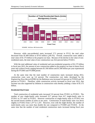

However, while non-residential starts increased 17.5 percent in FY12, the total value decreased from \$1.409 billion to \$716 million ( $\downarrow$ 49.1%). Overall, construction starts added a total value of \$1.175 billion to the property tax base. Because of the decline in the value of nonresidential starts, the total value of new construction was 34.4 percent below FY2011.

With the total additional value of residential and non-residential properties of \$1.175 billion in fiscal year 2012, the amount of new construction added to the property tax base in future fiscal years *may* achieve levels ranging between \$1.166 billion and \$1.506 billion per year experienced during the FY2003 and FY2008 period.

At the same time that the total number of construction starts increased during 2012, construction costs were up 3.4 percent. The construction cost index developed by the *Engineering News Record* (ENR) for the Baltimore area increased 4.8 percent in FY2010 and 3.9 percent in FY2011. Therefore, while construction activity increased in fiscal year 2012, that increase was also supported by inflation in construction costs thereby yielding a value of \$1.175 billion.

### *Residential Real Estate*

Total construction of residential units increased 5.0 percent from FY2011 to FY2012. The number of new single-family units increased 22.7 percent from 617 single-family units in FY2011 to 757 units in FY2012. However construction of single-family units in FY2012 was the second lowest number of starts in ten years. Construction of multi-family units was down slightly in FY2012 from 1,377 to 1,337. However, even with the slight decline, the number of multi-family units was more than double the rate compared to FY2009 and FY2010. At the same time that the number of total residential construction starts increased during fiscal year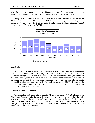2012, the number of permitted units increased from 2,095 units in fiscal year 2011 to 2,277 units in fiscal year 2012 (↑8.7%) suggesting continued improvement in residential construction.

During FY2012, home sales declined 2.7 percent following a decline of 17.6 percent in FY2011 and an increase of 28.5 percent in FY2010. Median sales prices for existing homes increased 1.4 percent during the fiscal year and followed a decline of 3.9 percent during FY2010 and an increase of 3.5 percent in FY2011.



# *Retail Sales*

Using sales tax receipts as a measure of retail sales activity in the County, the growth in sales of durable and nondurable goods, excluding miscellaneous and assessment collections, increased 5.4 percent during FY2012 compared to FY2011. Purchases of nondurable goods, which include food and beverage, apparel, general merchandise, and utilities and transportation, increased 7.8 percent during this period while sales of durable goods were down 0.3 percent. The increase in nondurable good purchases was attributed to food and beverage sales (↑12.2%). The decrease in durable goods was attributed to a decline in sales of furniture and appliances (↓5.4%) and building and industrial supplies  $(10.3\%)$ .

# *Consumer Prices and Inflation*

As measured by the Consumer Price Index for All Urban Consumers (CPI-U), inflation in the Washington-Baltimore region increased 1.4 percent on a year-over-year basis in July, i.e., July 2012 over July 2011. That modest growth continued a deceleration in the rate of inflation since March. Consumer prices excluding food and energy purchases were up 2.0 percent in the region (on a year-over-year basis), which was about the same increase as for the nation ( $\uparrow$ 2.1%) over the same July 2011-to-July 2012 period.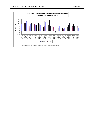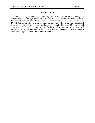# **CONCLUSION**

While the County's economy improved during FY2012, the results are mixed. Although the average monthly unemployment rate declined in FY2012 to 5.1 percent, it remained elevated. Employment measured either by the survey of establishments or households increased in FY2012 but not at rates to drive the unemployment rate below 5 percent. Residential construction improved with the construction of single-family homes up 27.7 percent and construction of multi-family units above 1,330 for the second year in a row. However, sales of existing homes declined for the second year in a row. If sales do not begin to increase, there is a risk of excess capacity in the residential real estate market.